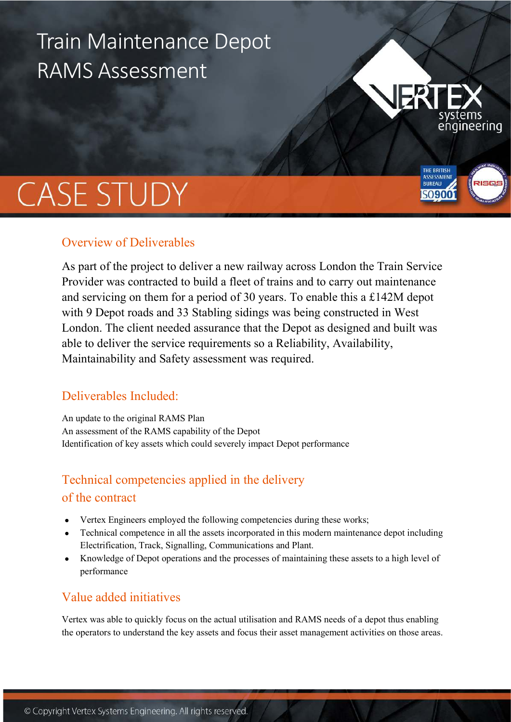# Train Maintenance Depot RAMS Assessment

# **CASE STUDY**

# Overview of Deliverables

As part of the project to deliver a new railway across London the Train Service Provider was contracted to build a fleet of trains and to carry out maintenance and servicing on them for a period of 30 years. To enable this a £142M depot with 9 Depot roads and 33 Stabling sidings was being constructed in West London. The client needed assurance that the Depot as designed and built was able to deliver the service requirements so a Reliability, Availability, Maintainability and Safety assessment was required.

ıgineering

THE BRITISH **BUREAU** 

# Deliverables Included:

An update to the original RAMS Plan An assessment of the RAMS capability of the Depot Identification of key assets which could severely impact Depot performance

# Technical competencies applied in the delivery of the contract

- Vertex Engineers employed the following competencies during these works;
- Technical competence in all the assets incorporated in this modern maintenance depot including Electrification, Track, Signalling, Communications and Plant.
- Knowledge of Depot operations and the processes of maintaining these assets to a high level of performance

# Value added initiatives

Vertex was able to quickly focus on the actual utilisation and RAMS needs of a depot thus enabling the operators to understand the key assets and focus their asset management activities on those areas.